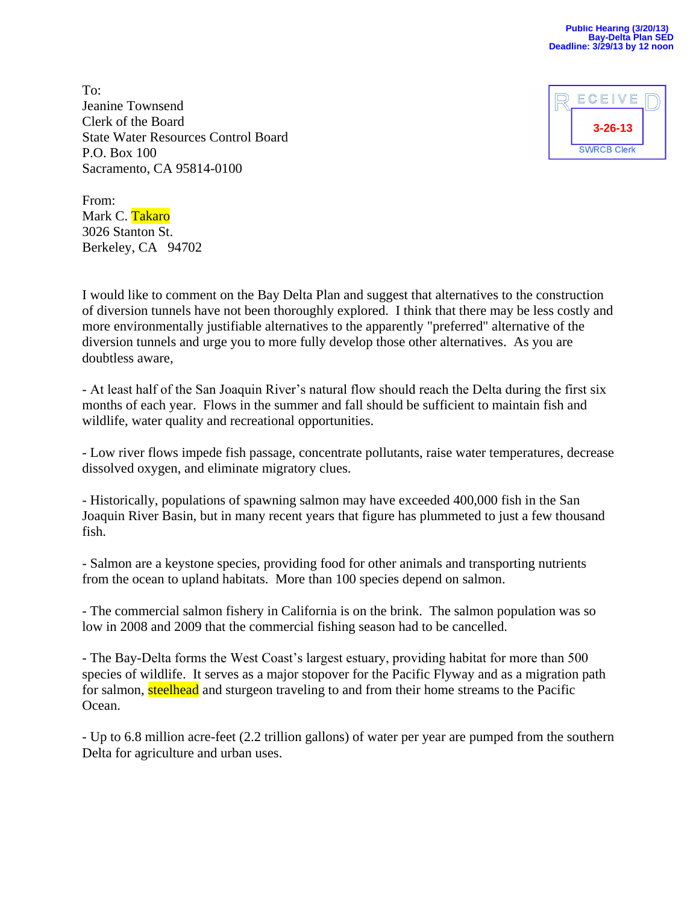To: Jeanine Townsend Clerk of the Board State Water Resources Control Board P.O. Box 100 Sacramento, CA 95814-0100



From: Mark C. Takaro 3026 Stanton St. Berkeley, CA 94702

I would like to comment on the Bay Delta Plan and suggest that alternatives to the construction of diversion tunnels have not been thoroughly explored. I think that there may be less costly and more environmentally justifiable alternatives to the apparently "preferred" alternative of the diversion tunnels and urge you to more fully develop those other alternatives. As you are doubtless aware,

- At least half of the San Joaquin River's natural flow should reach the Delta during the first six months of each year. Flows in the summer and fall should be sufficient to maintain fish and wildlife, water quality and recreational opportunities.

- Low river flows impede fish passage, concentrate pollutants, raise water temperatures, decrease dissolved oxygen, and eliminate migratory clues.

- Historically, populations of spawning salmon may have exceeded 400,000 fish in the San Joaquin River Basin, but in many recent years that figure has plummeted to just a few thousand fish.

- Salmon are a keystone species, providing food for other animals and transporting nutrients from the ocean to upland habitats. More than 100 species depend on salmon.

- The commercial salmon fishery in California is on the brink. The salmon population was so low in 2008 and 2009 that the commercial fishing season had to be cancelled.

- The Bay-Delta forms the West Coast's largest estuary, providing habitat for more than 500 species of wildlife. It serves as a major stopover for the Pacific Flyway and as a migration path for salmon, steelhead and sturgeon traveling to and from their home streams to the Pacific Ocean.

- Up to 6.8 million acre-feet (2.2 trillion gallons) of water per year are pumped from the southern Delta for agriculture and urban uses.